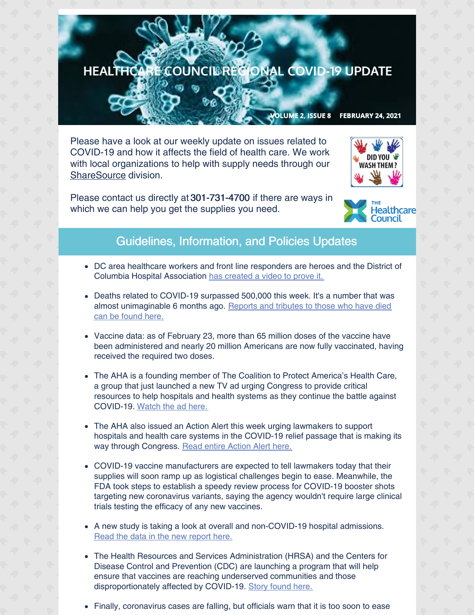## HEALTHCARE COUNCIL RECIONAL COVID-19 UPDATE

VOLUME 2, ISSUE 8 FEBRUARY 24, 2021

Please have a look at our weekly update on issues related to COVID-19 and how it affects the field of health care. We work with local organizations to help with supply needs through our [ShareSource](https://www.share-source.org/) division.

Please contact us directly at 301-731-4700 if there are ways in which we can help you get the supplies you need.





## Guidelines, Information, and Policies Updates

- DC area healthcare workers and front line responders are heroes and the District of Columbia Hospital Association has [created](https://www.youtube.com/watch?v=KGCAX6-TK7U) a video to prove it.
- Deaths related to COVID-19 surpassed 500,000 this week. It's a number that was almost [unimaginable](https://www.washingtonpost.com/graphics/2020/national/coronavirus-us-cases-deaths/?itid=sf_coronavirus) 6 months ago. Reports and tributes to those who have died can be found here.
- Vaccine data: as of February 23, more than 65 million doses of the vaccine have been administered and nearly 20 million Americans are now fully vaccinated, having received the required two doses.
- The AHA is a founding member of The Coalition to Protect America's Health Care, a group that just launched a new TV ad urging Congress to provide critical resources to help hospitals and health systems as they continue the battle against COVID-19. [Watch](https://protecthealthcare.org/media-center/covid-relief-2021/) the ad here.
- The AHA also issued an Action Alert this week urging lawmakers to support hospitals and health care systems in the COVID-19 relief passage that is making its way through Congress. Read entire [Action](https://contentsharing.net/actions/email_web_version.cfm?ep=Bdhtp-zVuqFkgQiV6-lxty0f-nrLBJWzuTngPvD-5dUEuivX3kAVhGBArY1SKz6NciAPFgegJb6mzrrA_N1M-jfuD0r3aLwwnfKHLpEGC185gEyp8h8y3AbeVxirhvhJ) Alert here.
- COVID-19 vaccine manufacturers are expected to tell lawmakers today that their supplies will soon ramp up as logistical challenges begin to ease. Meanwhile, the FDA took steps to establish a speedy review process for COVID-19 booster shots targeting new coronavirus variants, saying the agency wouldn't require large clinical trials testing the efficacy of any new vaccines.
- A new study is taking a look at overall and non-COVID-19 hospital admissions. Read the data in the new [report](https://www.ehrn.org/articles/trends-in-overall-and-non-covid-19-hospital-admissions-update?mkt_tok=eyJpIjoiTWpCbVl6RmhNbU5qWldFMiIsInQiOiJnK1hsdU85UDlBS3QzZGE1bWlhbVNuVkJGbjlEdnhoMGVcL3hkYnNLRzlnRWZ2S1JjUm1mUFZsSUlobHhZTDZUYzZIcFRVZ1hFTm1ic1c0YjFHYzZSWXl3KzZMZ09nR0JtQldrM1BXaThqVlJlSVwvZ0Rkelh3bUsxU3NqZ1RVKzRwIn0=) here.
- The Health Resources and Services Administration (HRSA) and the Centers for Disease Control and Prevention (CDC) are launching a program that will help ensure that vaccines are reaching underserved communities and those disproportionately affected by COVID-19. Story [found](https://www.hrsa.gov/coronavirus/health-center-program?utm_campaign=enews20210218&utm_medium=email&utm_source=govdelivery) here.
- Finally, coronavirus cases are falling, but officials warn that it is too soon to ease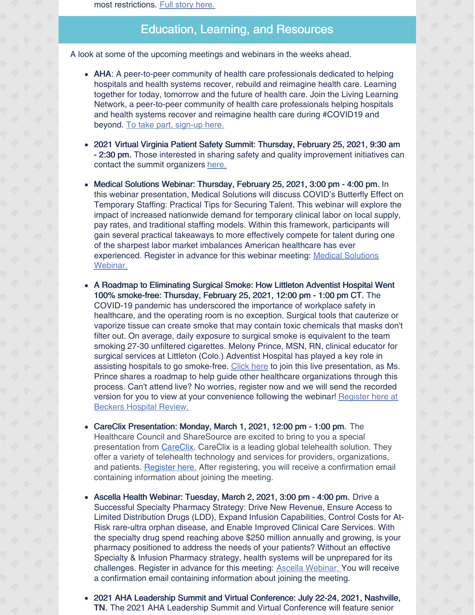most restrictions. Full story [here.](https://www.washingtonpost.com/local/coronavirus-decline-dc-maryland-virginia/2021/02/19/37bc7ca2-709e-11eb-85fa-e0ccb3660358_story.html)

## Education, Learning, and Resources

A look at some of the upcoming meetings and webinars in the weeks ahead.

- AHA: A peer-to-peer community of health care professionals dedicated to helping hospitals and health systems recover, rebuild and reimagine health care. Learning together for today, tomorrow and the future of health care. Join the Living Learning Network, a peer-to-peer community of health care professionals helping hospitals and health systems recover and reimagine health care during #COVID19 and beyond. To take part, [sign-up](https://www.aha.org/center/living-learning-network) here.
- 2021 Virtual Virginia Patient Safety Summit: Thursday, February 25, 2021, 9:30 am - 2:30 pm. Those interested in sharing safety and quality improvement initiatives can contact the summit organizers [here.](http://image.outreach.vhha.com/lib/fe3b11717164047c771576/m/1/f26eb079-7276-49c8-aa5d-ee56437d56bd.pdf)
- Medical Solutions Webinar: Thursday, February 25, 2021, 3:00 pm 4:00 pm. In this webinar presentation, Medical Solutions will discuss COVID's Butterfly Effect on Temporary Staffing: Practical Tips for Securing Talent. This webinar will explore the impact of increased nationwide demand for temporary clinical labor on local supply, pay rates, and traditional staffing models. Within this framework, participants will gain several practical takeaways to more effectively compete for talent during one of the sharpest labor market imbalances American healthcare has ever [experienced.](https://us02web.zoom.us/meeting/register/tZIscemuqzsqE9MxrKKVgc0UXTM5OEbzb7JK) Register in advance for this webinar meeting: Medical Solutions Webinar.
- A Roadmap to Eliminating Surgical Smoke: How Littleton Adventist Hospital Went 100% smoke-free: Thursday, February 25, 2021, 12:00 pm - 1:00 pm CT. The COVID-19 pandemic has underscored the importance of workplace safety in healthcare, and the operating room is no exception. Surgical tools that cauterize or vaporize tissue can create smoke that may contain toxic chemicals that masks don't filter out. On average, daily exposure to surgical smoke is equivalent to the team smoking 27-30 unfiltered cigarettes. Melony Prince, MSN, RN, clinical educator for surgical services at Littleton (Colo.) Adventist Hospital has played a key role in assisting hospitals to go smoke-free. [Click](https://go.beckershospitalreview.com/a-roadmap-to-eliminating-surgical-smoke-how-littleton-adventist-hospital-went-100-smoke-free?utm_campaign=Stryker_Webinar_2.25.2021&utm_source=email&utm_content=code1) here to join this live presentation, as Ms. Prince shares a roadmap to help guide other healthcare organizations through this process. Can't attend live? No worries, register now and we will send the recorded version for you to view at your [convenience](https://go.beckershospitalreview.com/a-roadmap-to-eliminating-surgical-smoke-how-littleton-adventist-hospital-went-100-smoke-free?utm_campaign=Stryker_Webinar_2.25.2021&utm_source=email&utm_content=code1) following the webinar! Register here at Beckers Hospital Review.
- CareClix Presentation: Monday, March 1, 2021, 12:00 pm 1:00 pm. The Healthcare Council and ShareSource are excited to bring to you a special presentation from [CareClix](https://careclix.com/). CareClix is a leading global telehealth solution. They offer a variety of telehealth technology and services for providers, organizations, and patients. [Register](https://us02web.zoom.us/meeting/register/tZ0tduioqj4pE9azynek21FwFpCu28wcfiHt) here. After registering, you will receive a confirmation email containing information about joining the meeting.
- Ascella Health Webinar: Tuesday, March 2, 2021, 3:00 pm 4:00 pm. Drive a Successful Specialty Pharmacy Strategy: Drive New Revenue, Ensure Access to Limited Distribution Drugs (LDD), Expand Infusion Capabilities, Control Costs for At-Risk rare-ultra orphan disease, and Enable Improved Clinical Care Services. With the specialty drug spend reaching above \$250 million annually and growing, is your pharmacy positioned to address the needs of your patients? Without an effective Specialty & Infusion Pharmacy strategy, health systems will be unprepared for its challenges. Register in advance for this meeting: Ascella [Webinar.](https://us02web.zoom.us/meeting/register/tZUud--srTovG92Ou96W6zs7Tou7DnKXfU6B) You will receive a confirmation email containing information about joining the meeting.
- 2021 AHA Leadership Summit and Virtual Conference: July 22-24, 2021, Nashville, TN. The 2021 AHA Leadership Summit and Virtual Conference will feature senior